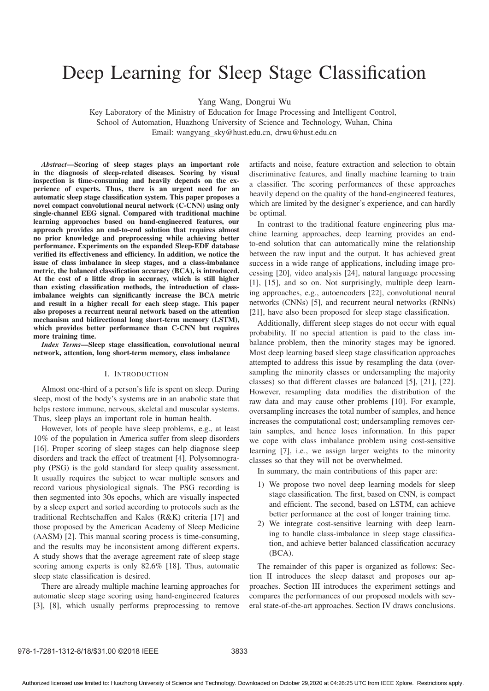# Deep Learning for Sleep Stage Classification

Yang Wang, Dongrui Wu

Key Laboratory of the Ministry of Education for Image Processing and Intelligent Control, School of Automation, Huazhong University of Science and Technology, Wuhan, China Email: wangyang sky@hust.edu.cn, drwu@hust.edu.cn

*Abstract*—Scoring of sleep stages plays an important role in the diagnosis of sleep-related diseases. Scoring by visual inspection is time-consuming and heavily depends on the experience of experts. Thus, there is an urgent need for an automatic sleep stage classification system. This paper proposes a novel compact convolutional neural network (C-CNN) using only single-channel EEG signal. Compared with traditional machine learning approaches based on hand-engineered features, our approach provides an end-to-end solution that requires almost no prior knowledge and preprocessing while achieving better performance. Experiments on the expanded Sleep-EDF database verified its effectiveness and efficiency. In addition, we notice the issue of class imbalance in sleep stages, and a class-imbalance metric, the balanced classification accuracy (BCA), is introduced. At the cost of a little drop in accuracy, which is still higher than existing classification methods, the introduction of classimbalance weights can significantly increase the BCA metric and result in a higher recall for each sleep stage. This paper also proposes a recurrent neural network based on the attention mechanism and bidirectional long short-term memory (LSTM), which provides better performance than C-CNN but requires more training time.

*Index Terms*—Sleep stage classification, convolutional neural network, attention, long short-term memory, class imbalance

# I. INTRODUCTION

Almost one-third of a person's life is spent on sleep. During sleep, most of the body's systems are in an anabolic state that helps restore immune, nervous, skeletal and muscular systems. Thus, sleep plays an important role in human health.

However, lots of people have sleep problems, e.g., at least 10% of the population in America suffer from sleep disorders [16]. Proper scoring of sleep stages can help diagnose sleep disorders and track the effect of treatment [4]. Polysomnography (PSG) is the gold standard for sleep quality assessment. It usually requires the subject to wear multiple sensors and record various physiological signals. The PSG recording is then segmented into 30s epochs, which are visually inspected by a sleep expert and sorted according to protocols such as the traditional Rechtschaffen and Kales (R&K) criteria [17] and those proposed by the American Academy of Sleep Medicine (AASM) [2]. This manual scoring process is time-consuming, and the results may be inconsistent among different experts. A study shows that the average agreement rate of sleep stage scoring among experts is only 82.6% [18]. Thus, automatic sleep state classification is desired.

There are already multiple machine learning approaches for automatic sleep stage scoring using hand-engineered features [3], [8], which usually performs preprocessing to remove

artifacts and noise, feature extraction and selection to obtain discriminative features, and finally machine learning to train a classifier. The scoring performances of these approaches heavily depend on the quality of the hand-engineered features, which are limited by the designer's experience, and can hardly be optimal.

In contrast to the traditional feature engineering plus machine learning approaches, deep learning provides an endto-end solution that can automatically mine the relationship between the raw input and the output. It has achieved great success in a wide range of applications, including image processing [20], video analysis [24], natural language processing [1], [15], and so on. Not surprisingly, multiple deep learning approaches, e.g., autoencoders [22], convolutional neural networks (CNNs) [5], and recurrent neural networks (RNNs) [21], have also been proposed for sleep stage classification.

Additionally, different sleep stages do not occur with equal probability. If no special attention is paid to the class imbalance problem, then the minority stages may be ignored. Most deep learning based sleep stage classification approaches attempted to address this issue by resampling the data (oversampling the minority classes or undersampling the majority classes) so that different classes are balanced [5], [21], [22]. However, resampling data modifies the distribution of the raw data and may cause other problems [10]. For example, oversampling increases the total number of samples, and hence increases the computational cost; undersampling removes certain samples, and hence loses information. In this paper we cope with class imbalance problem using cost-sensitive learning [7], i.e., we assign larger weights to the minority classes so that they will not be overwhelmed.

In summary, the main contributions of this paper are:

- 1) We propose two novel deep learning models for sleep stage classification. The first, based on CNN, is compact and efficient. The second, based on LSTM, can achieve better performance at the cost of longer training time.
- 2) We integrate cost-sensitive learning with deep learning to handle class-imbalance in sleep stage classification, and achieve better balanced classification accuracy (BCA).

The remainder of this paper is organized as follows: Section II introduces the sleep dataset and proposes our approaches. Section III introduces the experiment settings and compares the performances of our proposed models with several state-of-the-art approaches. Section IV draws conclusions.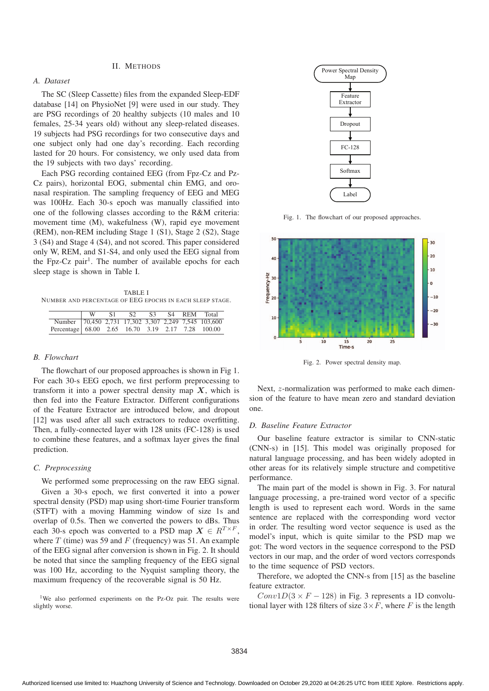# II. METHODS

# *A. Dataset*

The SC (Sleep Cassette) files from the expanded Sleep-EDF database [14] on PhysioNet [9] were used in our study. They are PSG recordings of 20 healthy subjects (10 males and 10 females, 25-34 years old) without any sleep-related diseases. 19 subjects had PSG recordings for two consecutive days and one subject only had one day's recording. Each recording lasted for 20 hours. For consistency, we only used data from the 19 subjects with two days' recording.

Each PSG recording contained EEG (from Fpz-Cz and Pz-Cz pairs), horizontal EOG, submental chin EMG, and oronasal respiration. The sampling frequency of EEG and MEG was 100Hz. Each 30-s epoch was manually classified into one of the following classes according to the R&M criteria: movement time (M), wakefulness (W), rapid eye movement (REM), non-REM including Stage 1 (S1), Stage 2 (S2), Stage 3 (S4) and Stage 4 (S4), and not scored. This paper considered only W, REM, and S1-S4, and only used the EEG signal from the Fpz-Cz pair<sup>1</sup>. The number of available epochs for each sleep stage is shown in Table I.

TABLE I NUMBER AND PERCENTAGE OF EEG EPOCHS IN EACH SLEEP STAGE.

|                                                      | -S.1 | S <sub>2</sub> | S <sup>3</sup> |  | S4 REM Total |
|------------------------------------------------------|------|----------------|----------------|--|--------------|
| Number 70,450 2,731 17,302 3,307 2,249 7,545 103,600 |      |                |                |  |              |
| Percentage 68.00 2.65 16.70 3.19 2.17 7.28 100.00    |      |                |                |  |              |

# *B. Flowchart*

The flowchart of our proposed approaches is shown in Fig 1. For each 30-s EEG epoch, we first perform preprocessing to transform it into a power spectral density map  $X$ , which is then fed into the Feature Extractor. Different configurations of the Feature Extractor are introduced below, and dropout [12] was used after all such extractors to reduce overfitting. Then, a fully-connected layer with 128 units (FC-128) is used to combine these features, and a softmax layer gives the final prediction.

## *C. Preprocessing*

We performed some preprocessing on the raw EEG signal. Given a 30-s epoch, we first converted it into a power spectral density (PSD) map using short-time Fourier transform (STFT) with a moving Hamming window of size 1s and overlap of 0.5s. Then we converted the powers to dBs. Thus each 30-s epoch was converted to a PSD map  $X \in R^{T \times F}$ , where  $T$  (time) was 59 and  $F$  (frequency) was 51. An example of the EEG signal after conversion is shown in Fig. 2. It should be noted that since the sampling frequency of the EEG signal was 100 Hz, according to the Nyquist sampling theory, the maximum frequency of the recoverable signal is 50 Hz.

<sup>1</sup>We also performed experiments on the Pz-Oz pair. The results were slightly worse.



Fig. 1. The flowchart of our proposed approaches.



Fig. 2. Power spectral density map.

Next, z-normalization was performed to make each dimension of the feature to have mean zero and standard deviation one.

## *D. Baseline Feature Extractor*

Our baseline feature extractor is similar to CNN-static (CNN-s) in [15]. This model was originally proposed for natural language processing, and has been widely adopted in other areas for its relatively simple structure and competitive performance.

The main part of the model is shown in Fig. 3. For natural language processing, a pre-trained word vector of a specific length is used to represent each word. Words in the same sentence are replaced with the corresponding word vector in order. The resulting word vector sequence is used as the model's input, which is quite similar to the PSD map we got: The word vectors in the sequence correspond to the PSD vectors in our map, and the order of word vectors corresponds to the time sequence of PSD vectors.

Therefore, we adopted the CNN-s from [15] as the baseline feature extractor.

 $Conv1D(3 \times F - 128)$  in Fig. 3 represents a 1D convolutional layer with 128 filters of size  $3 \times F$ , where F is the length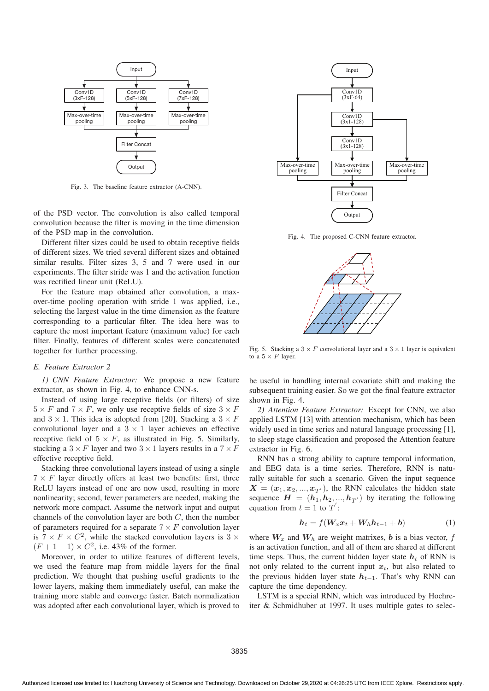

Fig. 3. The baseline feature extractor (A-CNN).

of the PSD vector. The convolution is also called temporal convolution because the filter is moving in the time dimension of the PSD map in the convolution.

Different filter sizes could be used to obtain receptive fields of different sizes. We tried several different sizes and obtained similar results. Filter sizes 3, 5 and 7 were used in our experiments. The filter stride was 1 and the activation function was rectified linear unit (ReLU).

For the feature map obtained after convolution, a maxover-time pooling operation with stride 1 was applied, i.e., selecting the largest value in the time dimension as the feature corresponding to a particular filter. The idea here was to capture the most important feature (maximum value) for each filter. Finally, features of different scales were concatenated together for further processing.

## *E. Feature Extractor 2*

*1) CNN Feature Extractor:* We propose a new feature extractor, as shown in Fig. 4, to enhance CNN-s.

Instead of using large receptive fields (or filters) of size  $5 \times F$  and  $7 \times F$ , we only use receptive fields of size  $3 \times F$ and  $3 \times 1$ . This idea is adopted from [20]. Stacking a  $3 \times F$ convolutional layer and a  $3 \times 1$  layer achieves an effective receptive field of  $5 \times F$ , as illustrated in Fig. 5. Similarly, stacking a  $3 \times F$  layer and two  $3 \times 1$  layers results in a  $7 \times F$ effective receptive field.

Stacking three convolutional layers instead of using a single  $7 \times F$  layer directly offers at least two benefits: first, three ReLU layers instead of one are now used, resulting in more nonlinearity; second, fewer parameters are needed, making the network more compact. Assume the network input and output channels of the convolution layer are both  $C$ , then the number of parameters required for a separate  $7 \times F$  convolution layer is  $7 \times F \times C^2$ , while the stacked convolution layers is  $3 \times$  $(F + 1 + 1) \times C^2$ , i.e. 43% of the former.

Moreover, in order to utilize features of different levels, we used the feature map from middle layers for the final prediction. We thought that pushing useful gradients to the lower layers, making them immediately useful, can make the training more stable and converge faster. Batch normalization was adopted after each convolutional layer, which is proved to



Fig. 4. The proposed C-CNN feature extractor.



Fig. 5. Stacking a  $3 \times F$  convolutional layer and a  $3 \times 1$  layer is equivalent to a  $5 \times F$  laver.

be useful in handling internal covariate shift and making the subsequent training easier. So we got the final feature extractor shown in Fig. 4.

*2) Attention Feature Extractor:* Except for CNN, we also applied LSTM [13] with attention mechanism, which has been widely used in time series and natural language processing [1], to sleep stage classification and proposed the Attention feature extractor in Fig. 6.

RNN has a strong ability to capture temporal information, and EEG data is a time series. Therefore, RNN is naturally suitable for such a scenario. Given the input sequence  $X = (x_1, x_2, ..., x_{T'}),$  the RNN calculates the hidden state<br>sequence  $H = (h_1, h_2, ..., h_{T'})$  by iterating the following sequence  $H = (h_1, h_2, ..., h_{T'})$  by iterating the following<br>equation from  $t = 1$  to  $T'$ . equation from  $t = 1$  to  $T'$ :

$$
\boldsymbol{h}_t = f(\boldsymbol{W}_x \boldsymbol{x}_t + \boldsymbol{W}_h \boldsymbol{h}_{t-1} + \boldsymbol{b}) \tag{1}
$$

where  $W_x$  and  $W_h$  are weight matrixes,  $b$  is a bias vector,  $f$ is an activation function, and all of them are shared at different time steps. Thus, the current hidden layer state  $h_t$  of RNN is not only related to the current input  $x_t$ , but also related to the previous hidden layer state  $h_{t-1}$ . That's why RNN can capture the time dependency.

LSTM is a special RNN, which was introduced by Hochreiter & Schmidhuber at 1997. It uses multiple gates to selec-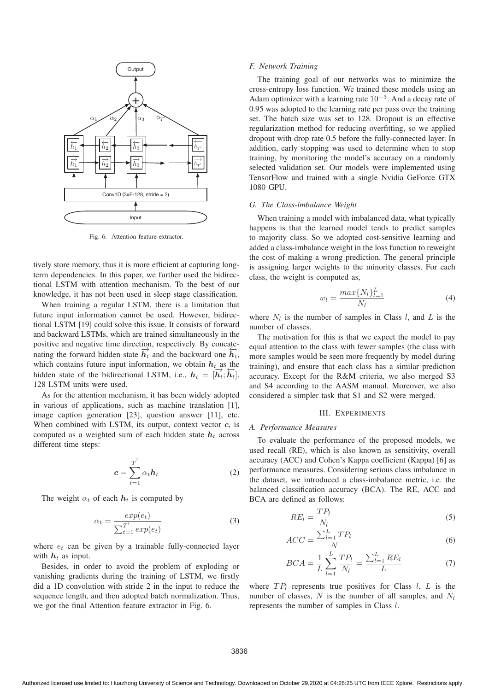

Fig. 6. Attention feature extractor.

tively store memory, thus it is more efficient at capturing longterm dependencies. In this paper, we further used the bidirectional LSTM with attention mechanism. To the best of our knowledge, it has not been used in sleep stage classification.

When training a regular LSTM, there is a limitation that future input information cannot be used. However, bidirectional LSTM [19] could solve this issue. It consists of forward and backward LSTMs, which are trained simultaneously in the positive and negative time direction, respectively. By concatenating the forward hidden state  $\vec{h}_t$  and the backward one  $\vec{h}_t$ , which contains future input information, we obtain  $h_t$  as the hidden state of the bidirectional LSTM, i.e.,  $h_t = [\overrightarrow{h_t}; \overleftarrow{h_t}]$ . 128 LSTM units were used.

As for the attention mechanism, it has been widely adopted in various of applications, such as machine translation [1], image caption generation [23], question answer [11], etc. When combined with LSTM, its output, context vector *c*, is computed as a weighted sum of each hidden state  $h_t$  across different time steps:

$$
c = \sum_{t=1}^{T'} \alpha_t h_t \tag{2}
$$

The weight  $\alpha_t$  of each  $h_t$  is computed by

$$
\alpha_t = \frac{exp(e_t)}{\sum_{t=1}^{T'} exp(e_t)}
$$
(3)

where  $e_t$  can be given by a trainable fully-connected layer with  $h_t$  as input.

Besides, in order to avoid the problem of exploding or vanishing gradients during the training of LSTM, we firstly did a 1D convolution with stride 2 in the input to reduce the sequence length, and then adopted batch normalization. Thus, we got the final Attention feature extractor in Fig. 6.

## *F. Network Training*

The training goal of our networks was to minimize the cross-entropy loss function. We trained these models using an Adam optimizer with a learning rate  $10^{-3}$ . And a decay rate of 0.95 was adopted to the learning rate per pass over the training set. The batch size was set to 128. Dropout is an effective regularization method for reducing overfitting, so we applied dropout with drop rate 0.5 before the fully-connected layer. In addition, early stopping was used to determine when to stop training, by monitoring the model's accuracy on a randomly selected validation set. Our models were implemented using TensorFlow and trained with a single Nvidia GeForce GTX 1080 GPU.

# *G. The Class-imbalance Weight*

When training a model with imbalanced data, what typically happens is that the learned model tends to predict samples to majority class. So we adopted cost-sensitive learning and added a class-imbalance weight in the loss function to reweight the cost of making a wrong prediction. The general principle is assigning larger weights to the minority classes. For each class, the weight is computed as,

$$
w_l = \frac{\max\{N_l\}_{l=1}^L}{N_l} \tag{4}
$$

where  $N_l$  is the number of samples in Class l, and L is the number of classes.

The motivation for this is that we expect the model to pay equal attention to the class with fewer samples (the class with more samples would be seen more frequently by model during training), and ensure that each class has a similar prediction accuracy. Except for the R&M criteria, we also merged S3 and S4 according to the AASM manual. Moreover, we also considered a simpler task that S1 and S2 were merged.

#### III. EXPERIMENTS

## *A. Performance Measures*

To evaluate the performance of the proposed models, we used recall (RE), which is also known as sensitivity, overall accuracy (ACC) and Cohen's Kappa coefficient (Kappa) [6] as performance measures. Considering serious class imbalance in the dataset, we introduced a class-imbalance metric, i.e. the balanced classification accuracy (BCA). The RE, ACC and BCA are defined as follows:

$$
RE_l = \frac{TP_l}{N_l} \tag{5}
$$

$$
ACC = \frac{\sum_{l=1}^{L} TP_l}{N} \tag{6}
$$

$$
BCA = \frac{1}{L} \sum_{l=1}^{L} \frac{TP_l}{N_l} = \frac{\sum_{l=1}^{L} RE_l}{L}
$$
(7)

where  $TP_l$  represents true positives for Class l, L is the number of classes,  $N$  is the number of all samples, and  $N_l$ represents the number of samples in Class l.

3836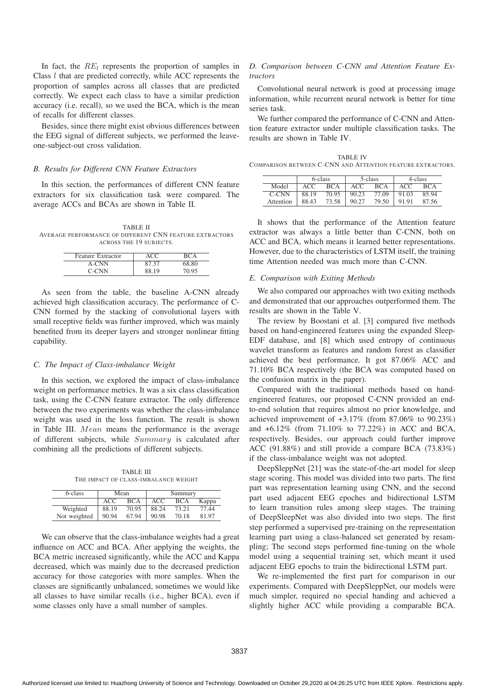In fact, the  $RE_l$  represents the proportion of samples in Class l that are predicted correctly, while ACC represents the proportion of samples across all classes that are predicted correctly. We expect each class to have a similar prediction accuracy (i.e. recall), so we used the BCA, which is the mean of recalls for different classes.

Besides, since there might exist obvious differences between the EEG signal of different subjects, we performed the leaveone-subject-out cross validation.

## *B. Results for Different CNN Feature Extractors*

In this section, the performances of different CNN feature extractors for six classification task were compared. The average ACCs and BCAs are shown in Table II.

TABLE II AVERAGE PERFORMANCE OF DIFFERENT CNN FEATURE EXTRACTORS ACROSS THE 19 SUBJECTS.

| Feature Extractor | ACC   | RCA   |
|-------------------|-------|-------|
| A-CNN             | 87.37 | 68.80 |
| C-CNN             | 88.19 | 70.95 |

As seen from the table, the baseline A-CNN already achieved high classification accuracy. The performance of C-CNN formed by the stacking of convolutional layers with small receptive fields was further improved, which was mainly benefited from its deeper layers and stronger nonlinear fitting capability.

## *C. The Impact of Class-imbalance Weight*

In this section, we explored the impact of class-imbalance weight on performance metrics. It was a six class classification task, using the C-CNN feature extractor. The only difference between the two experiments was whether the class-imbalance weight was used in the loss function. The result is shown in Table III. Mean means the performance is the average of different subjects, while Summary is calculated after combining all the predictions of different subjects.

TABLE III THE IMPACT OF CLASS-IMBALANCE WEIGHT

| 6-class      |       | Mean       | Summary |       |       |  |  |  |
|--------------|-------|------------|---------|-------|-------|--|--|--|
|              | ACC   | <b>BCA</b> | ACC     | BCA   | Kappa |  |  |  |
| Weighted     | 88.19 | 70.95      | 88.24   | 73.21 | 77.44 |  |  |  |
| Not weighted | 90.94 | 67.94      | 90.98   | 70.18 | 81.97 |  |  |  |

We can observe that the class-imbalance weights had a great influence on ACC and BCA. After applying the weights, the BCA metric increased significantly, while the ACC and Kappa decreased, which was mainly due to the decreased prediction accuracy for those categories with more samples. When the classes are significantly unbalanced, sometimes we would like all classes to have similar recalls (i.e., higher BCA), even if some classes only have a small number of samples.

# *D. Comparison between C-CNN and Attention Feature Extractors*

Convolutional neural network is good at processing image information, while recurrent neural network is better for time series task.

We further compared the performance of C-CNN and Attention feature extractor under multiple classification tasks. The results are shown in Table IV.

TABLE IV COMPARISON BETWEEN C-CNN AND ATTENTION FEATURE EXTRACTORS.

|           |       | 6-class |       | 5-class | 4-class |            |  |  |
|-----------|-------|---------|-------|---------|---------|------------|--|--|
| Model     | ACC   | BCA     | ACC   | BCA     | ACC     | <b>BCA</b> |  |  |
| C-CNN     | 88.19 | 70.95   | 90.23 | 77.09   | 91.03   | 85.94      |  |  |
| Attention | 88.43 | 73.58   | 90.27 | 79.50   | 91.91   | 87.56      |  |  |

It shows that the performance of the Attention feature extractor was always a little better than C-CNN, both on ACC and BCA, which means it learned better representations. However, due to the characteristics of LSTM itself, the training time Attention needed was much more than C-CNN.

#### *E. Comparison with Exiting Methods*

We also compared our approaches with two exiting methods and demonstrated that our approaches outperformed them. The results are shown in the Table V.

The review by Boostani et al. [3] compared five methods based on hand-engineered features using the expanded Sleep-EDF database, and [8] which used entropy of continuous wavelet transform as features and random forest as classifier achieved the best performance. It got 87.06% ACC and 71.10% BCA respectively (the BCA was computed based on the confusion matrix in the paper).

Compared with the traditional methods based on handengineered features, our proposed C-CNN provided an endto-end solution that requires almost no prior knowledge, and achieved improvement of  $+3.17\%$  (from 87.06% to 90.23%) and +6.12% (from 71.10% to 77.22%) in ACC and BCA, respectively. Besides, our approach could further improve ACC (91.88%) and still provide a compare BCA (73.83%) if the class-imbalance weight was not adopted.

DeepSleppNet [21] was the state-of-the-art model for sleep stage scoring. This model was divided into two parts. The first part was representation learning using CNN, and the second part used adjacent EEG epoches and bidirectional LSTM to learn transition rules among sleep stages. The training of DeepSleepNet was also divided into two steps. The first step performed a supervised pre-training on the representation learning part using a class-balanced set generated by resampling; The second steps performed fine-tuning on the whole model using a sequential training set, which meant it used adjacent EEG epochs to train the bidirectional LSTM part.

We re-implemented the first part for comparison in our experiments. Compared with DeepSleppNet, our models were much simpler, required no special handing and achieved a slightly higher ACC while providing a comparable BCA.